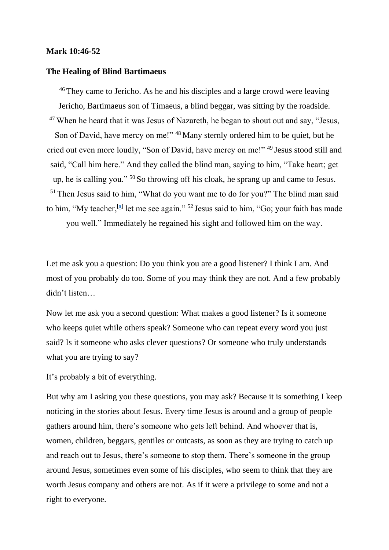## **Mark 10:46-52**

## **The Healing of Blind Bartimaeus**

<sup>46</sup> They came to Jericho. As he and his disciples and a large crowd were leaving Jericho, Bartimaeus son of Timaeus, a blind beggar, was sitting by the roadside.  $47$  When he heard that it was Jesus of Nazareth, he began to shout out and say, "Jesus, Son of David, have mercy on me!" <sup>48</sup> Many sternly ordered him to be quiet, but he cried out even more loudly, "Son of David, have mercy on me!" <sup>49</sup> Jesus stood still and said, "Call him here." And they called the blind man, saying to him, "Take heart; get up, he is calling you." <sup>50</sup> So throwing off his cloak, he sprang up and came to Jesus. <sup>51</sup> Then Jesus said to him, "What do you want me to do for you?" The blind man said to him, "My teacher,  $^{[a]}$  let me see again." <sup>52</sup> Jesus said to him, "Go; your faith has made you well." Immediately he regained his sight and followed him on the way.

Let me ask you a question: Do you think you are a good listener? I think I am. And most of you probably do too. Some of you may think they are not. And a few probably didn't listen…

Now let me ask you a second question: What makes a good listener? Is it someone who keeps quiet while others speak? Someone who can repeat every word you just said? Is it someone who asks clever questions? Or someone who truly understands what you are trying to say?

It's probably a bit of everything.

But why am I asking you these questions, you may ask? Because it is something I keep noticing in the stories about Jesus. Every time Jesus is around and a group of people gathers around him, there's someone who gets left behind. And whoever that is, women, children, beggars, gentiles or outcasts, as soon as they are trying to catch up and reach out to Jesus, there's someone to stop them. There's someone in the group around Jesus, sometimes even some of his disciples, who seem to think that they are worth Jesus company and others are not. As if it were a privilege to some and not a right to everyone.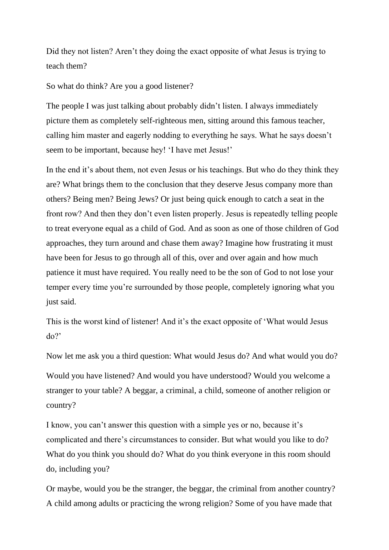Did they not listen? Aren't they doing the exact opposite of what Jesus is trying to teach them?

So what do think? Are you a good listener?

The people I was just talking about probably didn't listen. I always immediately picture them as completely self-righteous men, sitting around this famous teacher, calling him master and eagerly nodding to everything he says. What he says doesn't seem to be important, because hey! 'I have met Jesus!'

In the end it's about them, not even Jesus or his teachings. But who do they think they are? What brings them to the conclusion that they deserve Jesus company more than others? Being men? Being Jews? Or just being quick enough to catch a seat in the front row? And then they don't even listen properly. Jesus is repeatedly telling people to treat everyone equal as a child of God. And as soon as one of those children of God approaches, they turn around and chase them away? Imagine how frustrating it must have been for Jesus to go through all of this, over and over again and how much patience it must have required. You really need to be the son of God to not lose your temper every time you're surrounded by those people, completely ignoring what you just said.

This is the worst kind of listener! And it's the exact opposite of 'What would Jesus  $d\rho$ ?

Now let me ask you a third question: What would Jesus do? And what would you do?

Would you have listened? And would you have understood? Would you welcome a stranger to your table? A beggar, a criminal, a child, someone of another religion or country?

I know, you can't answer this question with a simple yes or no, because it's complicated and there's circumstances to consider. But what would you like to do? What do you think you should do? What do you think everyone in this room should do, including you?

Or maybe, would you be the stranger, the beggar, the criminal from another country? A child among adults or practicing the wrong religion? Some of you have made that